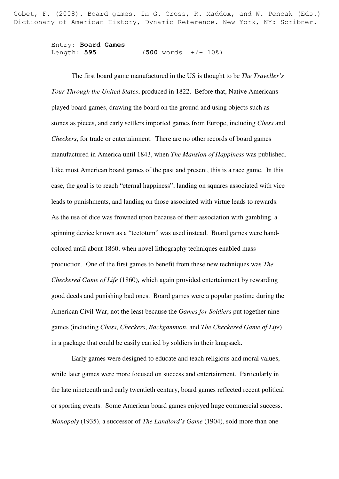Gobet, F. (2008). Board games. In G. Cross, R. Maddox, and W. Pencak (Eds.) Dictionary of American History, Dynamic Reference. New York, NY: Scribner.

> Entry: **Board Games** Length: **595** (**500** words +/- 10%)

The first board game manufactured in the US is thought to be *The Traveller's Tour Through the United States*, produced in 1822. Before that, Native Americans played board games, drawing the board on the ground and using objects such as stones as pieces, and early settlers imported games from Europe, including *Chess* and *Checkers*, for trade or entertainment. There are no other records of board games manufactured in America until 1843, when *The Mansion of Happiness* was published. Like most American board games of the past and present, this is a race game. In this case, the goal is to reach "eternal happiness"; landing on squares associated with vice leads to punishments, and landing on those associated with virtue leads to rewards. As the use of dice was frowned upon because of their association with gambling, a spinning device known as a "teetotum" was used instead. Board games were handcolored until about 1860, when novel lithography techniques enabled mass production. One of the first games to benefit from these new techniques was *The Checkered Game of Life* (1860), which again provided entertainment by rewarding good deeds and punishing bad ones. Board games were a popular pastime during the American Civil War, not the least because the *Games for Soldiers* put together nine games (including *Chess*, *Checkers*, *Backgammon*, and *The Checkered Game of Life*) in a package that could be easily carried by soldiers in their knapsack.

Early games were designed to educate and teach religious and moral values, while later games were more focused on success and entertainment. Particularly in the late nineteenth and early twentieth century, board games reflected recent political or sporting events. Some American board games enjoyed huge commercial success. *Monopoly* (1935), a successor of *The Landlord's Game* (1904), sold more than one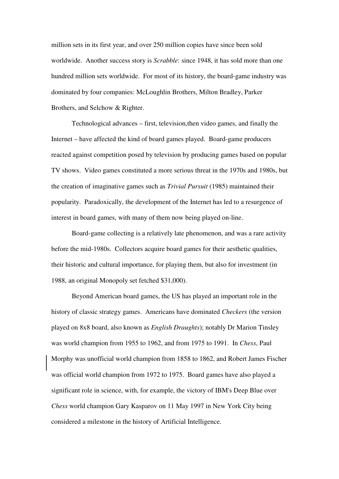million sets in its first year, and over 250 million copies have since been sold worldwide. Another success story is *Scrabble*: since 1948, it has sold more than one hundred million sets worldwide. For most of its history, the board-game industry was dominated by four companies: McLoughlin Brothers, Milton Bradley, Parker Brothers, and Selchow & Righter.

Technological advances – first, television,then video games, and finally the Internet – have affected the kind of board games played. Board-game producers reacted against competition posed by television by producing games based on popular TV shows. Video games constituted a more serious threat in the 1970s and 1980s, but the creation of imaginative games such as *Trivial Pursuit* (1985) maintained their popularity. Paradoxically, the development of the Internet has led to a resurgence of interest in board games, with many of them now being played on-line.

Board-game collecting is a relatively late phenomenon, and was a rare activity before the mid-1980s. Collectors acquire board games for their aesthetic qualities, their historic and cultural importance, for playing them, but also for investment (in 1988, an original Monopoly set fetched \$31,000).

Beyond American board games, the US has played an important role in the history of classic strategy games. Americans have dominated *Checkers* (the version played on 8x8 board, also known as *English Draughts*); notably Dr Marion Tinsley was world champion from 1955 to 1962, and from 1975 to 1991. In *Chess*, Paul Morphy was unofficial world champion from 1858 to 1862, and Robert James Fischer was official world champion from 1972 to 1975. Board games have also played a significant role in science, with, for example, the victory of IBM's Deep Blue over *Chess* world champion Gary Kasparov on 11 May 1997 in New York City being considered a milestone in the history of Artificial Intelligence.